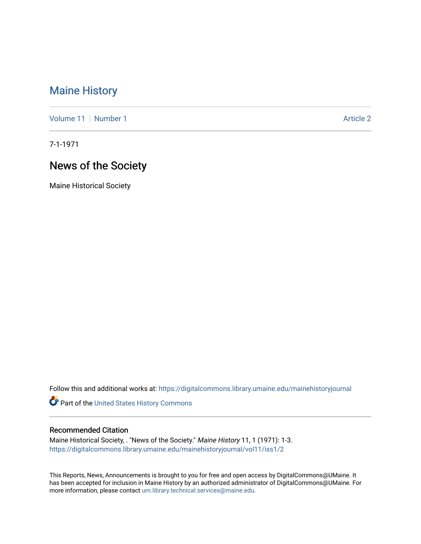## [Maine History](https://digitalcommons.library.umaine.edu/mainehistoryjournal)

[Volume 11](https://digitalcommons.library.umaine.edu/mainehistoryjournal/vol11) [Number 1](https://digitalcommons.library.umaine.edu/mainehistoryjournal/vol11/iss1) Article 2

7-1-1971

# News of the Society

Maine Historical Society

Follow this and additional works at: [https://digitalcommons.library.umaine.edu/mainehistoryjournal](https://digitalcommons.library.umaine.edu/mainehistoryjournal?utm_source=digitalcommons.library.umaine.edu%2Fmainehistoryjournal%2Fvol11%2Fiss1%2F2&utm_medium=PDF&utm_campaign=PDFCoverPages) 

Part of the [United States History Commons](http://network.bepress.com/hgg/discipline/495?utm_source=digitalcommons.library.umaine.edu%2Fmainehistoryjournal%2Fvol11%2Fiss1%2F2&utm_medium=PDF&utm_campaign=PDFCoverPages) 

### Recommended Citation

Maine Historical Society, . "News of the Society." Maine History 11, 1 (1971): 1-3. [https://digitalcommons.library.umaine.edu/mainehistoryjournal/vol11/iss1/2](https://digitalcommons.library.umaine.edu/mainehistoryjournal/vol11/iss1/2?utm_source=digitalcommons.library.umaine.edu%2Fmainehistoryjournal%2Fvol11%2Fiss1%2F2&utm_medium=PDF&utm_campaign=PDFCoverPages)

This Reports, News, Announcements is brought to you for free and open access by DigitalCommons@UMaine. It has been accepted for inclusion in Maine History by an authorized administrator of DigitalCommons@UMaine. For more information, please contact [um.library.technical.services@maine.edu](mailto:um.library.technical.services@maine.edu).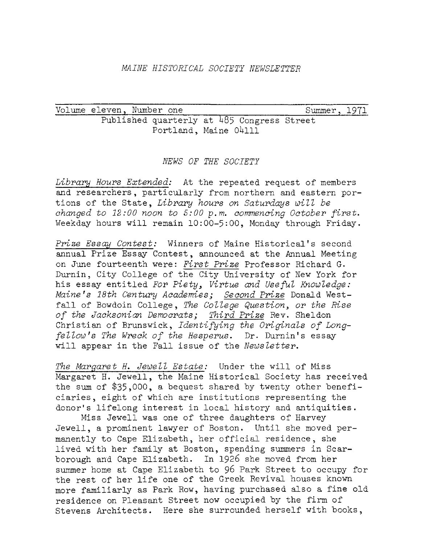#### *MAINE HISTORICAL SOCIETY NEWSLETTER*

Volume eleven, Number one\_\_\_\_\_\_\_\_ \_\_\_\_\_\_\_\_\_\_\_\_\_\_\_\_\_\_\_ Summer, 1971 Published quarterly at 485 Congress Street Portland, Maine 04111

#### *NEWS OF THE SOCIETY*

*Library Hours Extended:* At the repeated request of members and researchers, particularly from northern and eastern portions of the State, *Library hours on Saturdays will be changed to 12:00 noon to 5:00 p.m. commencing October first.* Weekday hours will remain 10:00-5:00, Monday through Friday.

*Prize Essay Contest:* Winners of Maine Historical'<sup>s</sup> second annual Prize Essay Contest, announced at the Annual Meeting on June fourteenth were: *First Prize* Professor Richard G. Durnin, City College of the City University of New York for his essay entitled *For Piety <sup>3</sup> Virtue and Useful Knowledge: Maine's 18th Century Academies; Second Prize* Donald Westfall of Bowdoin College, *The College Question, or the Rise of the Jacksonian Democrats; Third Prize* Rev. Sheldon Christian of Brunswick, *Identifying the Originals of Longfellow\*<sup>s</sup> The Wreck of the Hesperus.* Dr- Durnin\*s essay will appear in the Fall issue of the *Newsletter.*

*The Margaret H. Jewell Estate:* Under the will of Miss Margaret H. Jewell, the Maine Historical Society has received the sum of \$35,000, a bequest shared by twenty other beneficiaries, eight of which are institutions representing the donor'<sup>s</sup> lifelong interest in local history and antiquities.

Miss Jewell was one of three daughters of Harvey Jewell, a prominent lawyer of Boston. Until she moved permanently to Cape Elizabeth, her official residence, she lived with her family at Boston, spending summers in Scarborough and Cape Elizabeth. In 1926 she moved from her summer home at Cape Elizabeth to <sup>96</sup> Park Street to occupy for the rest of her life one of the Greek Revival houses known more familiarly as Park Row, having purchased also a fine old residence on Pleasant Street now occupied by the firm of Stevens Architects. Here she surrounded herself with books,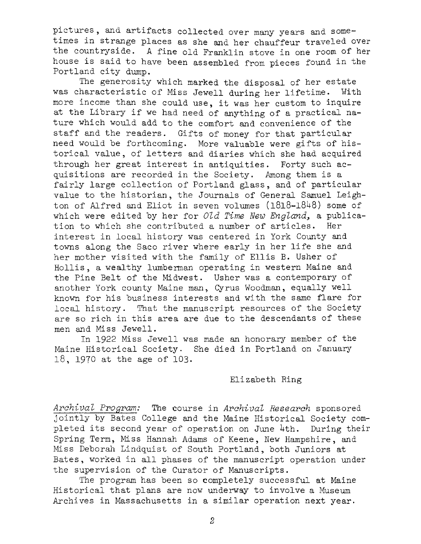pictures, and artifacts collected over many years and sometimes in strange places as she and her chauffeur traveled over the countryside. <sup>A</sup> fine old Franklin stove in one room of her house is said to have been assembled from pieces found in the Portland city dump.

The generosity which marked the disposal of her estate was characteristic of Miss Jewell during her lifetime. With more income than she could use, it was her custom to inquire at the Library if we had need of anything of <sup>a</sup> practical nature which would add to the comfort and convenience of the staff and the readers. Gifts of money for that particular need would be forthcoming. More valuable were gifts of historical value, of letters and diaries which she had acquired through her great interest in antiquities. Forty such acquisitions are recorded in the Society. Among them is a fairly large collection of Portland glass, and of particular value to the historian, the Journals of General Samuel Leighton of Alfred and Eliot in seven volumes  $(1818-1848)$  some of which were edited by her for *Old Time New England*, a publication to which she contributed <sup>a</sup> number of articles. Her interest in local history was centered in York County and towns along the Saco river where early in her life she and her mother visited with the family of Ellis B. Usher of Hollis, a wealthy lumberman operating in western Maine and the Pine Belt of the Midwest. Usher was a contemporary of another York county Maine man, Cyrus Woodman, equally well known for his business interests and with the same flare for local history. That the manuscript resources of the Society are so rich in this area are due to the descendants of these men and Miss Jewell.

In 1922 Miss Jewell was made an honorary member of the Maine Historical Society. She died in Portland on January 18, 1970 at the age of 103.

#### Elizabeth Ring

*Archival Program:* The course in *Archival Research* sponsored jointly by Bates College and the Maine Historical Society completed its second year of operation on June 4th. During their Spring Term, Miss Hannah Adams of Keene, New Hampshire, and Miss Deborah Lindquist of South Portland, both Juniors at Bates, worked in all phases of the manuscript operation under the supervision of the Curator of Manuscripts.

The program has been so completely successful at Maine Historical that plans are now underway to involve a Museum Archives in Massachusetts in a similar operation next year.

*2*